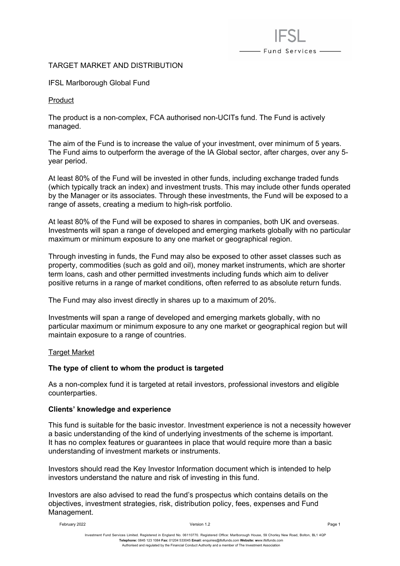# - Fund Services —

# TARGET MARKET AND DISTRIBUTION

IFSL Marlborough Global Fund

Product

The product is a non-complex, FCA authorised non-UCITs fund. The Fund is actively managed.

The aim of the Fund is to increase the value of your investment, over minimum of 5 years. The Fund aims to outperform the average of the IA Global sector, after charges, over any 5 year period.

At least 80% of the Fund will be invested in other funds, including exchange traded funds (which typically track an index) and investment trusts. This may include other funds operated by the Manager or its associates. Through these investments, the Fund will be exposed to a range of assets, creating a medium to high-risk portfolio.

At least 80% of the Fund will be exposed to shares in companies, both UK and overseas. Investments will span a range of developed and emerging markets globally with no particular maximum or minimum exposure to any one market or geographical region.

Through investing in funds, the Fund may also be exposed to other asset classes such as property, commodities (such as gold and oil), money market instruments, which are shorter term loans, cash and other permitted investments including funds which aim to deliver positive returns in a range of market conditions, often referred to as absolute return funds.

The Fund may also invest directly in shares up to a maximum of 20%.

Investments will span a range of developed and emerging markets globally, with no particular maximum or minimum exposure to any one market or geographical region but will maintain exposure to a range of countries.

## Target Market

## **The type of client to whom the product is targeted**

As a non-complex fund it is targeted at retail investors, professional investors and eligible counterparties.

## **Clients' knowledge and experience**

This fund is suitable for the basic investor. Investment experience is not a necessity however a basic understanding of the kind of underlying investments of the scheme is important. It has no complex features or guarantees in place that would require more than a basic understanding of investment markets or instruments.

Investors should read the Key Investor Information document which is intended to help investors understand the nature and risk of investing in this fund.

Investors are also advised to read the fund's prospectus which contains details on the objectives, investment strategies, risk, distribution policy, fees, expenses and Fund Management.

February 2022 Version 1.2 Page 1

Investment Fund Services Limited. Registered in England No. 06110770. Registered Office: Marlborough House, 59 Chorley New Road, Bolton, BL1 4QP **Telephone:** 0845 123 1084 **Fax:** 01204 533045 **Email:** [enquiries@ifslfunds.com](mailto:enquiries@ifslfunds.com) **Website: w**ww.ifslfunds.com Authorised and regulated by the Financial Conduct Authority and a member of The Investment Association